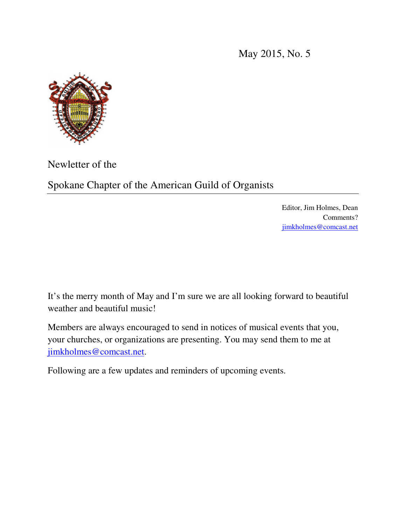May 2015, No. 5



Newletter of the

Spokane Chapter of the American Guild of Organists

Editor, Jim Holmes, Dean Comments? jimkholmes@comcast.net

It's the merry month of May and I'm sure we are all looking forward to beautiful weather and beautiful music!

Members are always encouraged to send in notices of musical events that you, your churches, or organizations are presenting. You may send them to me at jimkholmes@comcast.net.

Following are a few updates and reminders of upcoming events.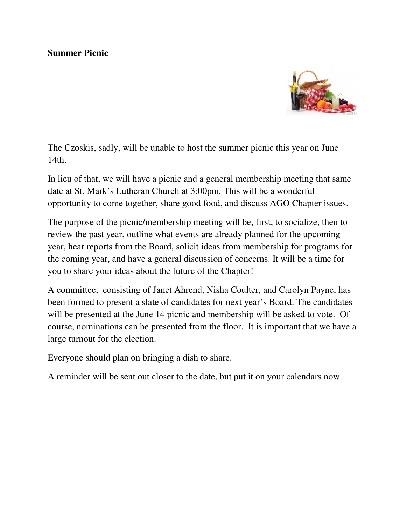#### **Summer Picnic**



The Czoskis, sadly, will be unable to host the summer picnic this year on June 14th.

In lieu of that, we will have a picnic and a general membership meeting that same date at St. Mark's Lutheran Church at 3:00pm. This will be a wonderful opportunity to come together, share good food, and discuss AGO Chapter issues.

The purpose of the picnic/membership meeting will be, first, to socialize, then to review the past year, outline what events are already planned for the upcoming year, hear reports from the Board, solicit ideas from membership for programs for the coming year, and have a general discussion of concerns. It will be a time for you to share your ideas about the future of the Chapter!

A committee, consisting of Janet Ahrend, Nisha Coulter, and Carolyn Payne, has been formed to present a slate of candidates for next year's Board. The candidates will be presented at the June 14 picnic and membership will be asked to vote. Of course, nominations can be presented from the floor. It is important that we have a large turnout for the election.

Everyone should plan on bringing a dish to share.

A reminder will be sent out closer to the date, but put it on your calendars now.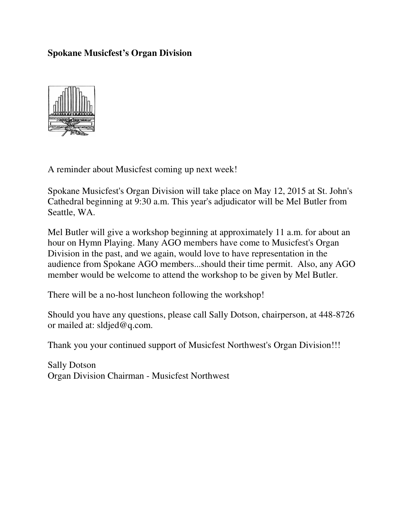#### **Spokane Musicfest's Organ Division**



A reminder about Musicfest coming up next week!

Spokane Musicfest's Organ Division will take place on May 12, 2015 at St. John's Cathedral beginning at 9:30 a.m. This year's adjudicator will be Mel Butler from Seattle, WA.

Mel Butler will give a workshop beginning at approximately 11 a.m. for about an hour on Hymn Playing. Many AGO members have come to Musicfest's Organ Division in the past, and we again, would love to have representation in the audience from Spokane AGO members...should their time permit. Also, any AGO member would be welcome to attend the workshop to be given by Mel Butler.

There will be a no-host luncheon following the workshop!

Should you have any questions, please call Sally Dotson, chairperson, at 448-8726 or mailed at: sldjed@q.com.

Thank you your continued support of Musicfest Northwest's Organ Division!!!

Sally Dotson Organ Division Chairman - Musicfest Northwest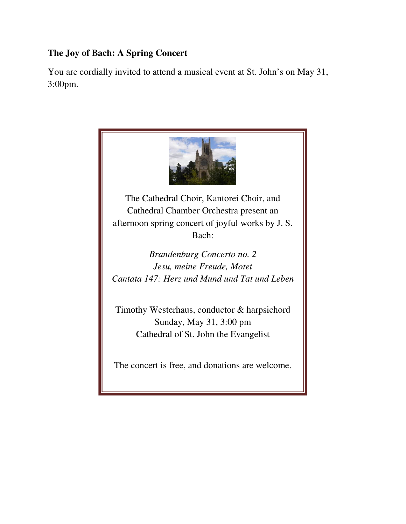# **The Joy of Bach: A Spring Concert**

You are cordially invited to attend a musical event at St. John's on May 31, 3:00pm.

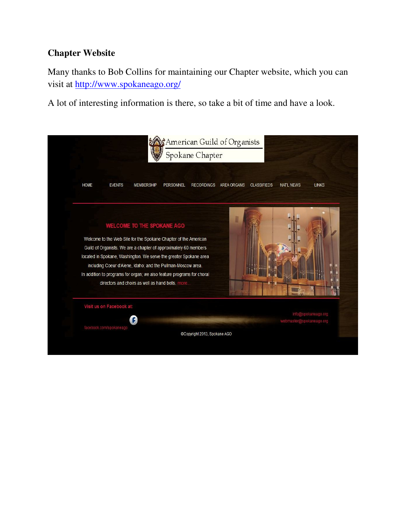### **Chapter Website**

Many thanks to Bob Collins for maintaining our Chapter website, which you can visit at http://www.spokaneago.org/

A lot of interesting information is there, so take a bit of time and have a look.

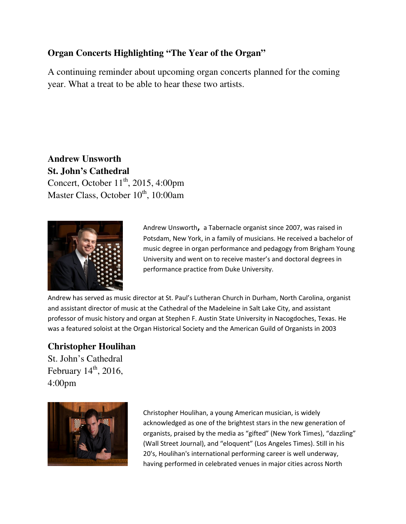## **Organ Concerts Highlighting "The Year of the Organ"**

A continuing reminder about upcoming organ concerts planned for the coming year. What a treat to be able to hear these two artists.

**Andrew Unsworth St. John's Cathedral**  Concert, October  $11<sup>th</sup>$ , 2015, 4:00pm Master Class, October  $10^{th}$ , 10:00am



Andrew Unsworth**,** a Tabernacle organist since 2007, was raised in Potsdam, New York, in a family of musicians. He received a bachelor of music degree in organ performance and pedagogy from Brigham Young University and went on to receive master's and doctoral degrees in performance practice from Duke University.

Andrew has served as music director at St. Paul's Lutheran Church in Durham, North Carolina, organist and assistant director of music at the Cathedral of the Madeleine in Salt Lake City, and assistant professor of music history and organ at Stephen F. Austin State University in Nacogdoches, Texas. He was a featured soloist at the Organ Historical Society and the American Guild of Organists in 2003

#### **Christopher Houlihan**

St. John's Cathedral February  $14<sup>th</sup>$ , 2016, 4:00pm



Christopher Houlihan, a young American musician, is widely acknowledged as one of the brightest stars in the new generation of organists, praised by the media as "gifted" (New York Times), "dazzling" (Wall Street Journal), and "eloquent" (Los Angeles Times). Still in his 20's, Houlihan's international performing career is well underway, having performed in celebrated venues in major cities across North